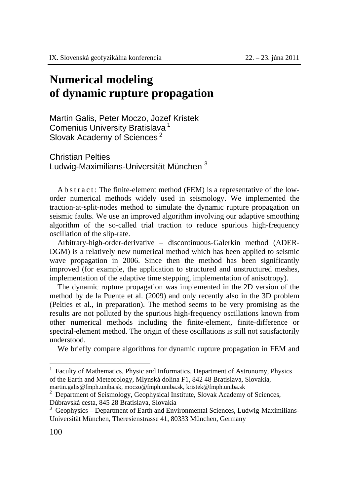## **Numerical modeling of dynamic rupture propagation**

Martin Galis, Peter Moczo, Jozef Kristek Comenius University Bratislava 1 Slovak Academy of Sciences<sup>2</sup>

Christian Pelties Ludwig-Maximilians-Universität München<sup>3</sup>

A b s t r a c t : The finite-element method (FEM) is a representative of the loworder numerical methods widely used in seismology. We implemented the traction-at-split-nodes method to simulate the dynamic rupture propagation on seismic faults. We use an improved algorithm involving our adaptive smoothing algorithm of the so-called trial traction to reduce spurious high-frequency oscillation of the slip-rate.

Arbitrary-high-order-derivative – discontinuous-Galerkin method (ADER-DGM) is a relatively new numerical method which has been applied to seismic wave propagation in 2006. Since then the method has been significantly improved (for example, the application to structured and unstructured meshes, implementation of the adaptive time stepping, implementation of anisotropy).

The dynamic rupture propagation was implemented in the 2D version of the method by de la Puente et al. (2009) and only recently also in the 3D problem (Pelties et al., in preparation). The method seems to be very promising as the results are not polluted by the spurious high-frequency oscillations known from other numerical methods including the finite-element, finite-difference or spectral-element method. The origin of these oscillations is still not satisfactorily understood.

We briefly compare algorithms for dynamic rupture propagation in FEM and

 $\overline{a}$ 

<sup>1</sup> Faculty of Mathematics, Physic and Informatics, Department of Astronomy, Physics of the Earth and Meteorology, Mlynská dolina F1, 842 48 Bratislava, Slovakia, martin.galis@fmph.uniba.sk, moczo@fmph.uniba.sk, kristek@fmph.uniba.sk <sup>2</sup>

<sup>&</sup>lt;sup>2</sup> Department of Seismology, Geophysical Institute, Slovak Academy of Sciences, Dúbravská cesta, 845 28 Bratislava, Slovakia

 $3$  Geophysics – Department of Earth and Environmental Sciences, Ludwig-Maximilians-Universität München, Theresienstrasse 41, 80333 München, Germany